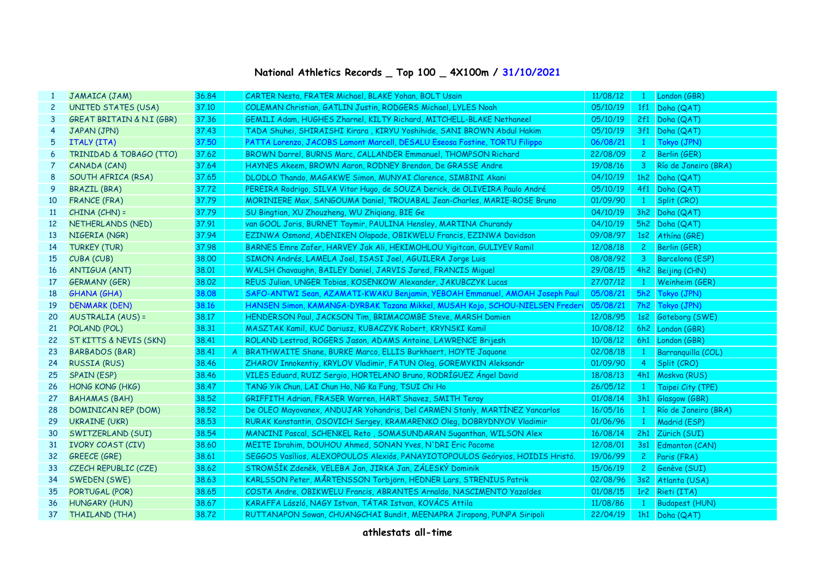## **National Athletics Records \_ Top 100 \_ 4X100m / 31/10/2021**

|                 | JAMAICA (JAM)                        | 36.84 |               | CARTER Nesta, FRATER Michael, BLAKE Yohan, BOLT Usain                          | 11/08/12 | $\mathbf{1}$   | London (GBR)         |
|-----------------|--------------------------------------|-------|---------------|--------------------------------------------------------------------------------|----------|----------------|----------------------|
| $\mathbf{2}$    | <b>UNITED STATES (USA)</b>           | 37.10 |               | COLEMAN Christian, GATLIN Justin, RODGERS Michael, LYLES Noah                  | 05/10/19 |                | 1f1 Doha (QAT)       |
| 3               | <b>GREAT BRITAIN &amp; N.I (GBR)</b> | 37,36 |               | GEMILI Adam, HUGHES Zharnel, KILTY Richard, MITCHELL-BLAKE Nethaneel           | 05/10/19 |                | 2f1 Doha (QAT)       |
| 4               | JAPAN (JPN)                          | 37.43 |               | TADA Shuhei, SHIRAISHI Kirara , KIRYU Yoshihide, SANI BROWN Abdul Hakim        | 05/10/19 |                | 3f1 Doha (QAT)       |
| 5               | <b>ITALY (ITA)</b>                   | 37.50 |               | PATTA Lorenzo, JACOBS Lamont Marcell, DESALU Eseosa Fostine, TORTU Filippo     | 06/08/21 | $\mathbf{1}$   | Tokyo (JPN)          |
| 6               | TRINIDAD & TOBAGO (TTO)              | 37.62 |               | BROWN Darrel, BURNS Marc, CALLANDER Emmanuel, THOMPSON Richard                 | 22/08/09 | 2 <sup>1</sup> | Berlin (GER)         |
| $\overline{7}$  | CANADA (CAN)                         | 37.64 |               | HAYNES Akeem, BROWN Aaron, RODNEY Brendon, De GRASSE Andre                     | 19/08/16 | 3 <sup>1</sup> | Río de Janeiro (BRA) |
| 8               | SOUTH AFRICA (RSA)                   | 37.65 |               | DLODLO Thando, MAGAKWE Simon, MUNYAI Clarence, SIMBINI Akani                   | 04/10/19 |                | 1h2 Doha (QAT)       |
| 9               | <b>BRAZIL (BRA)</b>                  | 37.72 |               | PEREIRA Rodrigo, SILVA Vitor Hugo, de SOUZA Derick, de OLIVEIRA Paulo André    | 05/10/19 |                | 4f1 Doha (QAT)       |
| 10              | <b>FRANCE (FRA)</b>                  | 37.79 |               | MORINIERE Max, SANGOUMA Daniel, TROUABAL Jean-Charles, MARIE-ROSE Bruno        | 01/09/90 | $\mathbf{1}$   | Split (CRO)          |
| 11              | $CHINA (CHN) =$                      | 37.79 |               | SU Bingtian, XU Zhouzheng, WU Zhigiang, BIE Ge                                 | 04/10/19 |                | 3h2 Doha (QAT)       |
| 12 <sup>2</sup> | NETHERLANDS (NED)                    | 37.91 |               | van GOOL Joris, BURNET Taymir, PAULINA Hensley, MARTINA Churandy               | 04/10/19 |                | 5h2 Doha (QAT)       |
| 13              | NIGERIA (NGR)                        | 37.94 |               | EZINWA Osmond, ADENIKEN Olapade, OBIKWELU Francis, EZINWA Davidson             | 09/08/97 |                | 1s2 Athina (GRE)     |
| 14              | <b>TURKEY (TUR)</b>                  | 37.98 |               | BARNES Emre Zafer, HARVEY Jak Ali, HEKIMOHLOU Yigitcan, GULIYEV Ramil          | 12/08/18 | $2^{\circ}$    | Berlin (GER)         |
| 15              | CUBA (CUB)                           | 38.00 |               | SIMON Andrés, LAMELA Joel, ISASI Joel, AGUILERA Jorge Luis                     | 08/08/92 |                | 3 Barcelona (ESP)    |
| 16              | <b>ANTIGUA (ANT)</b>                 | 38.01 |               | WALSH Chavaughn, BAILEY Daniel, JARVIS Jared, FRANCIS Miguel                   | 29/08/15 |                | 4h2 Beijing (CHN)    |
| 17              | <b>GERMANY (GER)</b>                 | 38.02 |               | REUS Julian, UNGER Tobias, KOSENKOW Alexander, JAKUBCZYK Lucas                 | 27/07/12 |                | 1 Weinheim (GER)     |
| 18              | GHANA (GHA)                          | 38,08 |               | SAFO-ANTWI Sean, AZAMATI-KWAKU Benjamin, YEBOAH Emmanuel, AMOAH Joseph Paul    | 05/08/21 |                | 5h2 Tokyo (JPN)      |
| 19              | <b>DENMARK (DEN)</b>                 | 38.16 |               | HANSEN Simon, KAMANGA-DYRBAK Tazana Mikkel, MUSAH Kojo, SCHOU-NIELSEN Freder   | 05/08/21 |                | 7h2 Tokyo (JPN)      |
| 20              | AUSTRALIA (AUS) =                    | 38.17 |               | HENDERSON Paul, JACKSON Tim, BRIMACOMBE Steve, MARSH Damien                    | 12/08/95 |                | 1s2 Göteborg (SWE)   |
| 21              | POLAND (POL)                         | 38.31 |               | MASZTAK Kamil, KUC Dariusz, KUBACZYK Robert, KRYNSKI Kamil                     | 10/08/12 |                | 6h2 London (GBR)     |
| 22              | ST KITTS & NEVIS (SKN)               | 38.41 |               | ROLAND Lestrod, ROGERS Jason, ADAMS Antoine, LAWRENCE Brijesh                  | 10/08/12 |                | 6h1 London (GBR)     |
| 23              | <b>BARBADOS (BAR)</b>                | 38.41 | $\mathcal{A}$ | BRATHWAITE Shane, BURKE Marco, ELLIS Burkhaert, HOYTE Jaquone                  | 02/08/18 | $\mathbf{1}$   | Barranquilla (COL)   |
| 24              | <b>RUSSIA (RUS)</b>                  | 38.46 |               | ZHAROV Innokentiy, KRYLOV Vladimir, FATUN Oleg, GOREMYKIN Aleksandr            | 01/09/90 | 4 <sup>1</sup> | Split (CRO)          |
| 25              | <b>SPAIN (ESP)</b>                   | 38.46 |               | VILES Eduard, RUIZ Sergio, HORTELANO Bruno, RODRÍGUEZ Ángel David              | 18/08/13 |                | 4h1 Moskva (RUS)     |
| 26              | HONG KONG (HKG)                      | 38.47 |               | TANG Yik Chun, LAI Chun Ho, NG Ka Fung, TSUI Chi Ho                            | 26/05/12 | $\mathbf{1}$   | Taipei City (TPE)    |
| 27              | <b>BAHAMAS (BAH)</b>                 | 38,52 |               | GRIFFITH Adrian, FRASER Warren, HART Shavez, SMITH Teray                       | 01/08/14 |                | 3h1 Glasgow (GBR)    |
| 28              | DOMINICAN REP (DOM)                  | 38,52 |               | De OLEO Mayovanex, ANDUJAR Yohandris, Del CARMEN Stanly, MARTINEZ Yancarlos    | 16/05/16 | $\mathbf{1}$   | Río de Janeiro (BRA) |
| 29              | UKRAINE (UKR)                        | 38.53 |               | RURAK Konstantin, OSOVICH Sergey, KRAMARENKO Oleg, DOBRYDNYOV Vladimir         | 01/06/96 |                | 1 Madrid (ESP)       |
| 30              | SWITZERLAND (SUI)                    | 38.54 |               | MANCINI Pascal, SCHENKEL Reto, SOMASUNDARAN Suganthan, WILSON Alex             | 16/08/14 |                | 2h1 Zürich (SUI)     |
| 31              | <b>IVORY COAST (CIV)</b>             | 38,60 |               | MEITE Ibrahim, DOUHOU Ahmed, SONAN Yves, N'DRI Eric Pacome                     | 12/08/01 |                | 3s1 Edmonton (CAN)   |
| 32              | <b>GREECE (GRE)</b>                  | 38.61 |               | SEGGOS Vasílios, ALEXOPOULOS Alexiós, PANAYIOTOPOULOS Geóryios, HOIDIS Hristó. | 19/06/99 |                | 2 Paris (FRA)        |
| 33              | CZECH REPUBLIC (CZE)                 | 38.62 |               | STROMŠÍK Zdeněk, VELEBA Jan, JIRKA Jan, ZÁLESKÝ Dominik                        | 15/06/19 |                | 2 Genève (SUI)       |
| 34              | <b>SWEDEN (SWE)</b>                  | 38.63 |               | KARLSSON Peter, MÅRTENSSON Torbjörn, HEDNER Lars, STRENIUS Patrik              | 02/08/96 |                | 3s2 Atlanta (USA)    |
| 35              | PORTUGAL (POR)                       | 38.65 |               | COSTA Andre, OBIKWELU Francis, ABRANTES Arnaldo, NASCIMENTO Yazaldes           | 01/08/15 |                | 1r2 Rieti (ITA)      |
| 36              | <b>HUNGARY (HUN)</b>                 | 38.67 |               | KARAFFA László, NAGY Istvan, TÁTAR Istvan, KOVÁCS Attila                       | 11/08/86 | $1 -$          | Budapest (HUN)       |
| 37              | THAILAND (THA)                       | 38,72 |               | RUTTANAPON Sowan, CHUANGCHAI Bundit, MEENAPRA Jirapong, PUNPA Siripoli         | 22/04/19 |                | 1h1 Doha (QAT)       |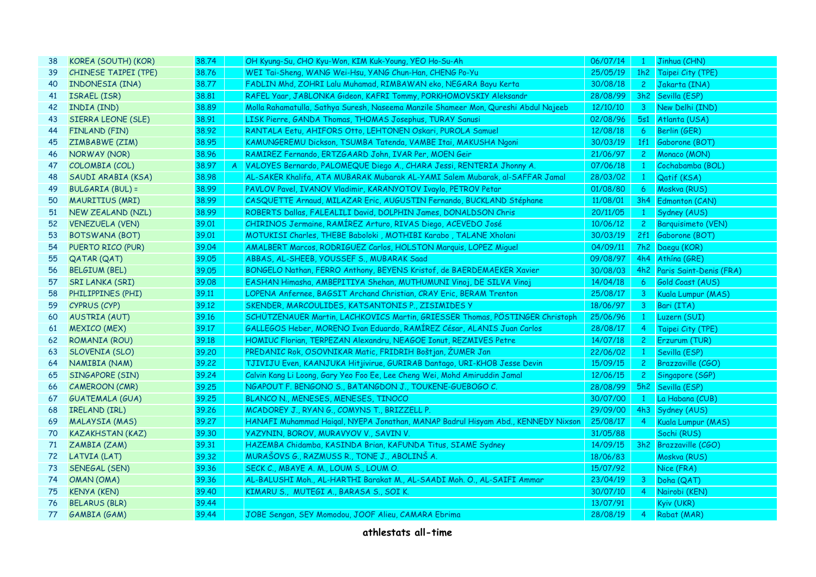| 38 | KOREA (SOUTH) (KOR)         | 38.74 |                | OH Kyung-Su, CHO Kyu-Won, KIM Kuk-Young, YEO Ho-Su-Ah                               | 06/07/14 | $\mathbf{1}$   | Jinhua (CHN)                |
|----|-----------------------------|-------|----------------|-------------------------------------------------------------------------------------|----------|----------------|-----------------------------|
| 39 | <b>CHINESE TAIPEI (TPE)</b> | 38.76 |                | WEI Tai-Sheng, WANG Wei-Hsu, YANG Chun-Han, CHENG Po-Yu                             | 25/05/19 |                | 1h2 Taipei City (TPE)       |
| 40 | <b>INDONESIA (INA)</b>      | 38.77 |                | FADLIN Mhd, ZOHRI Lalu Muhamad, RIMBAWAN eko, NEGARA Bayu Kerta                     | 30/08/18 |                | 2 Jakarta (INA)             |
| 41 | <b>ISRAEL (ISR)</b>         | 38.81 |                | RAFEL Yaar, JABLONKA Gideon, KAFRI Tommy, PORKHOMOVSKIY Aleksandr                   | 28/08/99 |                | 3h2 Sevilla (ESP)           |
| 42 | INDIA (IND)                 | 38.89 |                | Molla Rahamatulla, Sathya Suresh, Naseema Manzile Shameer Mon, Qureshi Abdul Najeeb | 12/10/10 | 3 <sup>1</sup> | New Delhi (IND)             |
| 43 | SIERRA LEONE (SLE)          | 38.91 |                | LISK Pierre, GANDA Thomas, THOMAS Josephus, TURAY Sanusi                            | 02/08/96 | 5s1            | Atlanta (USA)               |
| 44 | <b>FINLAND (FIN)</b>        | 38.92 |                | RANTALA Eetu, AHIFORS Otto, LEHTONEN Oskari, PUROLA Samuel                          | 12/08/18 | 6 <sup>1</sup> | Berlin (GER)                |
| 45 | ZIMBABWE (ZIM)              | 38.95 |                | KAMUNGEREMU Dickson, TSUMBA Tatenda, VAMBE Itai, MAKUSHA Ngoni                      | 30/03/19 |                | 1f1 Gaborone (BOT)          |
| 46 | NORWAY (NOR)                | 38.96 |                | RAMIREZ Fernando, ERTZGAARD John, IVAR Per, MOEN Geir                               | 21/06/97 | $2^{\circ}$    | Monaco (MON)                |
| 47 | COLOMBIA (COL)              | 38.97 | $\overline{A}$ | VALOYES Bernardo, PALOMEQUE Diego A., CHARA Jessi, RENTERIA Jhonny A.               | 07/06/18 | $\mathbf{1}$   | Cochabamba (BOL)            |
| 48 | SAUDI ARABIA (KSA)          | 38.98 |                | AL-SAKER Khalifa, ATA MUBARAK Mubarak AL-YAMI Salem Mubarak, al-SAFFAR Jamal        | 28/03/02 | $\mathbf{1}$   | Qatif (KSA)                 |
| 49 | BULGARIA (BUL) =            | 38.99 |                | PAVLOV Pavel, IVANOV Vladimir, KARANYOTOV Ivaylo, PETROV Petar                      | 01/08/80 | 6 <sup>1</sup> | Moskva (RUS)                |
| 50 | <b>MAURITIUS (MRI)</b>      | 38.99 |                | CASQUETTE Arnaud, MILAZAR Eric, AUGUSTIN Fernando, BUCKLAND Stéphane                | 11/08/01 | 3h4            | Edmonton (CAN)              |
| 51 | NEW ZEALAND (NZL)           | 38.99 |                | ROBERTS Dallas, FALEALILI David, DOLPHIN James, DONALDSON Chris                     | 20/11/05 | $\mathbf{1}$   | Sydney (AUS)                |
| 52 | <b>VENEZUELA (VEN)</b>      | 39.01 |                | CHIRINOS Jermaine, RAMÍREZ Arturo, RIVAS Diego, ACEVEDO José                        | 10/06/12 | $2^{\circ}$    | Barquisimeto (VEN)          |
| 53 | <b>BOTSWANA (BOT)</b>       | 39.01 |                | MOTUKISI Charles, THEBE Baboloki, MOTHIBI Karabo, TALANE Xholani                    | 30/03/19 |                | 2f1 Gaborone (BOT)          |
| 54 | PUERTO RICO (PUR)           | 39.04 |                | AMALBERT Marcos, RODRIGUEZ Carlos, HOLSTON Marquis, LOPEZ Miquel                    | 04/09/11 |                | 7h2 Daegu (KOR)             |
| 55 | <b>QATAR (QAT)</b>          | 39.05 |                | ABBAS, AL-SHEEB, YOUSSEF S., MUBARAK Saad                                           | 09/08/97 | 4h4            | Athína (GRE)                |
| 56 | <b>BELGIUM (BEL)</b>        | 39.05 |                | BONGELO Nathan, FERRO Anthony, BEYENS Kristof, de BAERDEMAEKER Xavier               | 30/08/03 |                | 4h2 Paris Saint-Denis (FRA) |
| 57 | SRI LANKA (SRI)             | 39.08 |                | EASHAN Himasha, AMBEPITIYA Shehan, MUTHUMUNI Vinoj, DE SILVA Vinoj                  | 14/04/18 | 6 <sup>1</sup> | Gold Coast (AUS)            |
| 58 | PHILIPPINES (PHI)           | 39.11 |                | LOPENA Anfernee, BAGSIT Archand Christian, CRAY Eric, BERAM Trenton                 | 25/08/17 | $\mathbf{3}$   | Kuala Lumpur (MAS)          |
| 59 | CYPRUS (CYP)                | 39.12 |                | SKENDER, MARCOULIDES, KATSANTONIS P., ZISIMIDES Y                                   | 18/06/97 | 3 <sup>7</sup> | Bari (ITA)                  |
| 60 | <b>AUSTRIA (AUT)</b>        | 39.16 |                | SCHÜTZENAUER Martin, LACHKOVICS Martin, GRIESSER Thomas, PÖSTINGER Christoph        | 25/06/96 | $\mathbf{1}$   | Luzern (SUI)                |
| 61 | <b>MEXICO (MEX)</b>         | 39.17 |                | GALLEGOS Heber, MORENO Ivan Eduardo, RAMÍREZ César, ALANIS Juan Carlos              | 28/08/17 | $\overline{4}$ | Taipei City (TPE)           |
| 62 | ROMANIA (ROU)               | 39.18 |                | HOMIUC Florian, TERPEZAN Alexandru, NEAGOE Ionut, REZMIVES Petre                    | 14/07/18 | 2 <sup>1</sup> | Erzurum (TUR)               |
| 63 | <b>SLOVENIA (SLO)</b>       | 39,20 |                | PREDANIC Rok, OSOVNIKAR Matic, FRIDRIH Boštjan, ŽUMER Jan                           | 22/06/02 | $1 -$          | Sevilla (ESP)               |
| 64 | NAMIBIA (NAM)               | 39.22 |                | TJIVIJU Even, KAANJUKA Hitjivirue, GURIRAB Dantago, URI-KHOB Jesse Devin            | 15/09/15 | $2^{\circ}$    | <b>Brazzaville (CGO)</b>    |
| 65 | SINGAPORE (SIN)             | 39.24 |                | Calvin Kang Li Loong, Gary Yeo Foo Ee, Lee Cheng Wei, Mohd Amiruddin Jamal          | 12/06/15 | $2^{\circ}$    | Singapore (SGP)             |
| 66 | CAMEROON (CMR)              | 39.25 |                | NGAPOUT F. BENGONO S., BATANGDON J., TOUKENE-GUEBOGO C.                             | 28/08/99 |                | 5h2 Sevilla (ESP)           |
| 67 | <b>GUATEMALA (GUA)</b>      | 39.25 |                | BLANCO N., MENESES, MENESES, TINOCO                                                 | 30/07/00 | $1 -$          | La Habana (CUB)             |
| 68 | <b>IRELAND (IRL)</b>        | 39.26 |                | MCADOREY J., RYAN G., COMYNS T., BRIZZELL P.                                        | 29/09/00 |                | 4h3 Sydney (AUS)            |
| 69 | <b>MALAYSIA (MAS)</b>       | 39.27 |                | HANAFI Muhammad Haiqal, NYEPA Jonathan, MANAP Badrul Hisyam Abd., KENNEDY Nixson    | 25/08/17 | $\overline{4}$ | Kuala Lumpur (MAS)          |
| 70 | <b>KAZAKHSTAN (KAZ)</b>     | 39.30 |                | YAZYNIN, BOROV, MURAVYOV V., SAVIN V.                                               | 31/05/88 |                | Sochi (RUS)                 |
| 71 | ZAMBIA (ZAM)                | 39.31 |                | HAZEMBA Chidamba, KASINDA Brian, KAFUNDA Titus, SIAME Sydney                        | 14/09/15 |                | 3h2 Brazzaville (CGO)       |
| 72 | LATVIA (LAT)                | 39.32 |                | MURAŠOVS G., RAZMUSS R., TONE J., ABOLINŠ A.                                        | 18/06/83 |                | Moskva (RUS)                |
| 73 | SENEGAL (SEN)               | 39.36 |                | SECK C., MBAYE A. M., LOUM S., LOUM O.                                              | 15/07/92 |                | Nice (FRA)                  |
| 74 | OMAN (OMA)                  | 39.36 |                | AL-BALUSHI Moh., AL-HARTHI Barakat M., AL-SAADI Moh. O., AL-SAIFI Ammar             | 23/04/19 | 3              | Doha (QAT)                  |
| 75 | <b>KENYA (KEN)</b>          | 39.40 |                | KIMARU S., MUTEGI A., BARASA S., SOI K.                                             | 30/07/10 | $\overline{4}$ | Nairobi (KEN)               |
| 76 | <b>BELARUS (BLR)</b>        | 39.44 |                |                                                                                     | 13/07/91 |                | Kyiv (UKR)                  |
| 77 | GAMBIA (GAM)                | 39.44 |                | JOBE Sengan, SEY Momodou, JOOF Alieu, CAMARA Ebrima                                 | 28/08/19 | $\overline{4}$ | Rabat (MAR)                 |